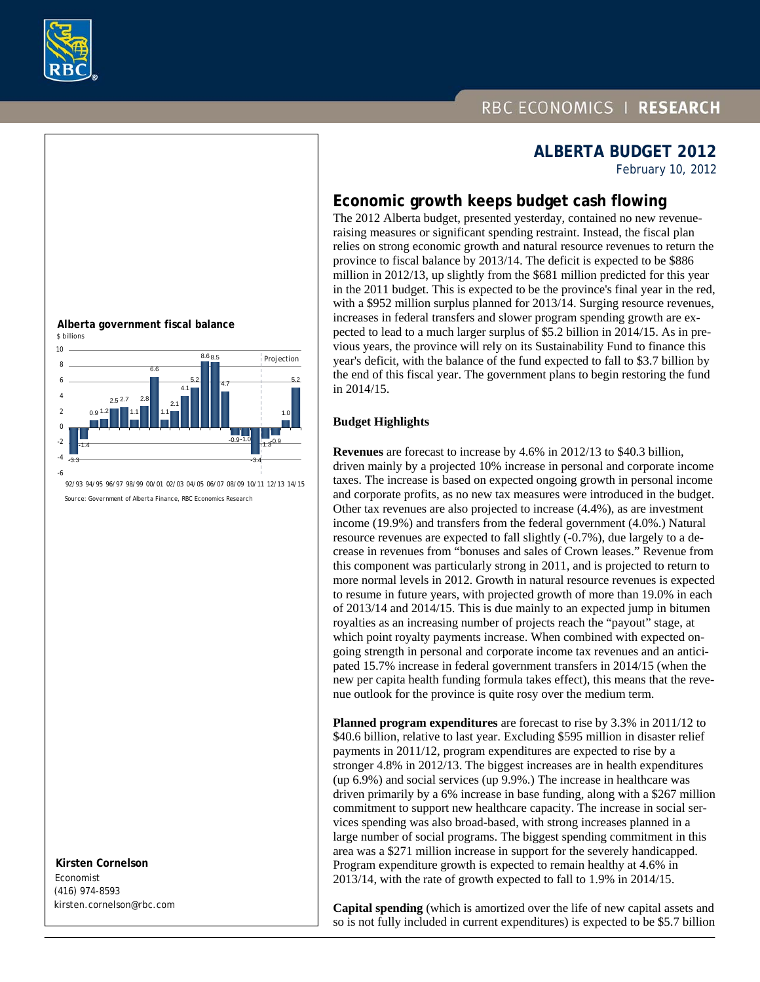

## RBC ECONOMICS | RESEARCH



February 10, 2012

### **Economic growth keeps budget cash flowing**

The 2012 Alberta budget, presented yesterday, contained no new revenueraising measures or significant spending restraint. Instead, the fiscal plan relies on strong economic growth and natural resource revenues to return the province to fiscal balance by 2013/14. The deficit is expected to be \$886 million in 2012/13, up slightly from the \$681 million predicted for this year in the 2011 budget. This is expected to be the province's final year in the red, with a \$952 million surplus planned for 2013/14. Surging resource revenues, increases in federal transfers and slower program spending growth are expected to lead to a much larger surplus of \$5.2 billion in 2014/15. As in previous years, the province will rely on its Sustainability Fund to finance this year's deficit, with the balance of the fund expected to fall to \$3.7 billion by the end of this fiscal year. The government plans to begin restoring the fund in 2014/15.

#### **Budget Highlights**

**Revenues** are forecast to increase by 4.6% in 2012/13 to \$40.3 billion, driven mainly by a projected 10% increase in personal and corporate income taxes. The increase is based on expected ongoing growth in personal income and corporate profits, as no new tax measures were introduced in the budget. Other tax revenues are also projected to increase (4.4%), as are investment income (19.9%) and transfers from the federal government (4.0%.) Natural resource revenues are expected to fall slightly (-0.7%), due largely to a decrease in revenues from "bonuses and sales of Crown leases." Revenue from this component was particularly strong in 2011, and is projected to return to more normal levels in 2012. Growth in natural resource revenues is expected to resume in future years, with projected growth of more than 19.0% in each of 2013/14 and 2014/15. This is due mainly to an expected jump in bitumen royalties as an increasing number of projects reach the "payout" stage, at which point royalty payments increase. When combined with expected ongoing strength in personal and corporate income tax revenues and an anticipated 15.7% increase in federal government transfers in 2014/15 (when the new per capita health funding formula takes effect), this means that the revenue outlook for the province is quite rosy over the medium term.

**Planned program expenditures** are forecast to rise by 3.3% in 2011/12 to \$40.6 billion, relative to last year. Excluding \$595 million in disaster relief payments in 2011/12, program expenditures are expected to rise by a stronger 4.8% in 2012/13. The biggest increases are in health expenditures (up 6.9%) and social services (up 9.9%.) The increase in healthcare was driven primarily by a 6% increase in base funding, along with a \$267 million commitment to support new healthcare capacity. The increase in social services spending was also broad-based, with strong increases planned in a large number of social programs. The biggest spending commitment in this area was a \$271 million increase in support for the severely handicapped. Program expenditure growth is expected to remain healthy at 4.6% in 2013/14, with the rate of growth expected to fall to 1.9% in 2014/15.

**Capital spending** (which is amortized over the life of new capital assets and so is not fully included in current expenditures) is expected to be \$5.7 billion





Source: Government of Alberta Finance, RBC Economics Research

 **Kirsten Cornelson**  Economist (416) 974-8593

kirsten.cornelson@rbc.com